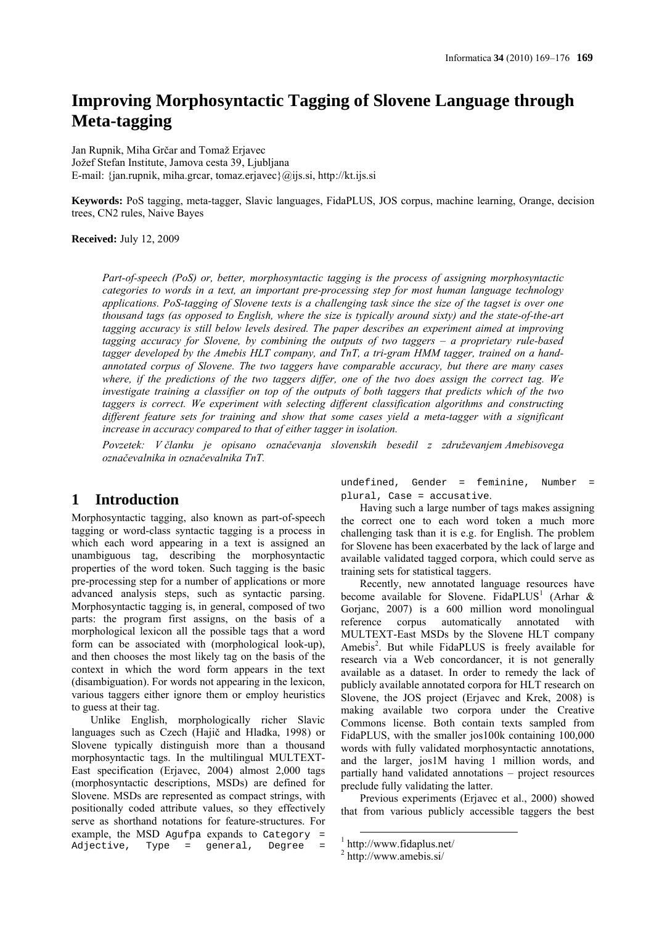# **Improving Morphosyntactic Tagging of Slovene Language through Meta-tagging**

Jan Rupnik, Miha Grčar and Tomaž Erjavec Jožef Stefan Institute, Jamova cesta 39, Ljubljana E-mail: {jan.rupnik, miha.grcar, tomaz.erjavec}@ijs.si, http://kt.ijs.si

**Keywords:** PoS tagging, meta-tagger, Slavic languages, FidaPLUS, JOS corpus, machine learning, Orange, decision trees, CN2 rules, Naive Bayes

**Received:** July 12, 2009

*Part-of-speech (PoS) or, better, morphosyntactic tagging is the process of assigning morphosyntactic categories to words in a text, an important pre-processing step for most human language technology applications. PoS-tagging of Slovene texts is a challenging task since the size of the tagset is over one thousand tags (as opposed to English, where the size is typically around sixty) and the state-of-the-art tagging accuracy is still below levels desired. The paper describes an experiment aimed at improving tagging accuracy for Slovene, by combining the outputs of two taggers – a proprietary rule-based tagger developed by the Amebis HLT company, and TnT, a tri-gram HMM tagger, trained on a handannotated corpus of Slovene. The two taggers have comparable accuracy, but there are many cases where, if the predictions of the two taggers differ, one of the two does assign the correct tag. We investigate training a classifier on top of the outputs of both taggers that predicts which of the two taggers is correct. We experiment with selecting different classification algorithms and constructing different feature sets for training and show that some cases yield a meta-tagger with a significant increase in accuracy compared to that of either tagger in isolation.* 

*Povzetek: V članku je opisano označevanja slovenskih besedil z združevanjem Amebisovega označevalnika in označevalnika TnT.*

# **1 Introduction**

Morphosyntactic tagging, also known as part-of-speech tagging or word-class syntactic tagging is a process in which each word appearing in a text is assigned an unambiguous tag, describing the morphosyntactic properties of the word token. Such tagging is the basic pre-processing step for a number of applications or more advanced analysis steps, such as syntactic parsing. Morphosyntactic tagging is, in general, composed of two parts: the program first assigns, on the basis of a morphological lexicon all the possible tags that a word form can be associated with (morphological look-up), and then chooses the most likely tag on the basis of the context in which the word form appears in the text (disambiguation). For words not appearing in the lexicon, various taggers either ignore them or employ heuristics to guess at their tag.

Unlike English, morphologically richer Slavic languages such as Czech (Hajič and Hladka, 1998) or Slovene typically distinguish more than a thousand morphosyntactic tags. In the multilingual MULTEXT-East specification (Erjavec, 2004) almost 2,000 tags (morphosyntactic descriptions, MSDs) are defined for Slovene. MSDs are represented as compact strings, with positionally coded attribute values, so they effectively serve as shorthand notations for feature-structures. For example, the MSD Agufpa expands to Category =<br>Adjective, Type = general, Degree =  $Type = general, Degree$ 

undefined, Gender = feminine, Number = plural, Case = accusative.

Having such a large number of tags makes assigning the correct one to each word token a much more challenging task than it is e.g. for English. The problem for Slovene has been exacerbated by the lack of large and available validated tagged corpora, which could serve as training sets for statistical taggers.

Recently, new annotated language resources have become available for Slovene. FidaPLUS<sup>1</sup> (Arhar & Gorjanc, 2007) is a 600 million word monolingual reference corpus automatically annotated with MULTEXT-East MSDs by the Slovene HLT company Amebis<sup>2</sup>. But while FidaPLUS is freely available for research via a Web concordancer, it is not generally available as a dataset. In order to remedy the lack of publicly available annotated corpora for HLT research on Slovene, the JOS project (Erjavec and Krek, 2008) is making available two corpora under the Creative Commons license. Both contain texts sampled from FidaPLUS, with the smaller jos100k containing 100,000 words with fully validated morphosyntactic annotations, and the larger, jos1M having 1 million words, and partially hand validated annotations – project resources preclude fully validating the latter.

Previous experiments (Erjavec et al., 2000) showed that from various publicly accessible taggers the best

 $1$  http://www.fidaplus.net/

<sup>2</sup> http://www.amebis.si/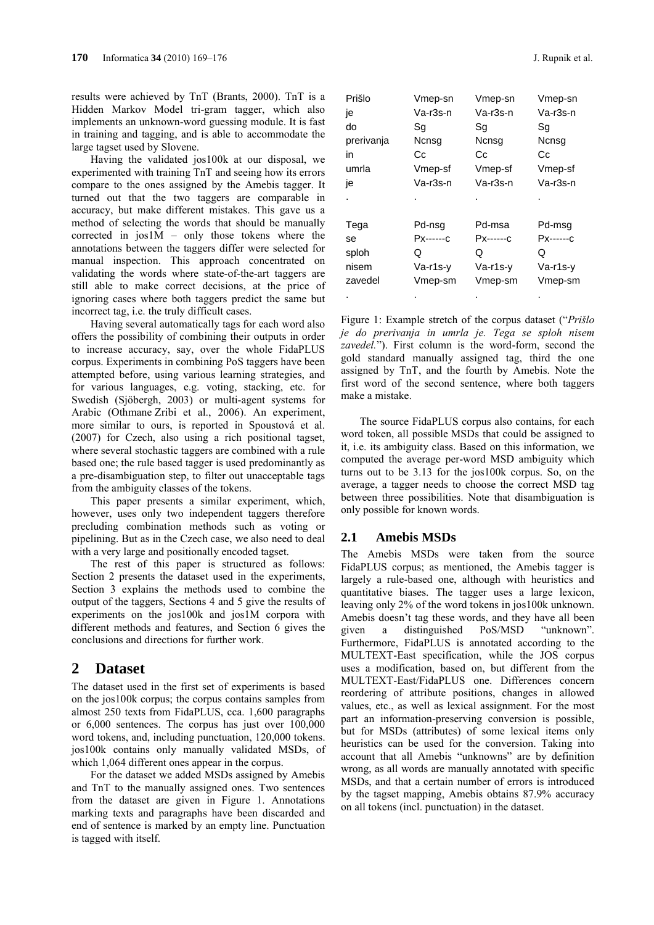results were achieved by TnT (Brants, 2000). TnT is a Hidden Markov Model tri-gram tagger, which also implements an unknown-word guessing module. It is fast in training and tagging, and is able to accommodate the large tagset used by Slovene.

Having the validated jos100k at our disposal, we experimented with training TnT and seeing how its errors compare to the ones assigned by the Amebis tagger. It turned out that the two taggers are comparable in accuracy, but make different mistakes. This gave us a method of selecting the words that should be manually corrected in  $j$ os $1M - only$  those tokens where the annotations between the taggers differ were selected for manual inspection. This approach concentrated on validating the words where state-of-the-art taggers are still able to make correct decisions, at the price of ignoring cases where both taggers predict the same but incorrect tag, i.e. the truly difficult cases.

Having several automatically tags for each word also offers the possibility of combining their outputs in order to increase accuracy, say, over the whole FidaPLUS corpus. Experiments in combining PoS taggers have been attempted before, using various learning strategies, and for various languages, e.g. voting, stacking, etc. for Swedish (Sjöbergh, 2003) or multi-agent systems for Arabic (Othmane Zribi et al., 2006). An experiment, more similar to ours, is reported in Spoustová et al. (2007) for Czech, also using a rich positional tagset, where several stochastic taggers are combined with a rule based one; the rule based tagger is used predominantly as a pre-disambiguation step, to filter out unacceptable tags from the ambiguity classes of the tokens.

This paper presents a similar experiment, which, however, uses only two independent taggers therefore precluding combination methods such as voting or pipelining. But as in the Czech case, we also need to deal with a very large and positionally encoded tagset.

The rest of this paper is structured as follows: Section 2 presents the dataset used in the experiments, Section 3 explains the methods used to combine the output of the taggers, Sections 4 and 5 give the results of experiments on the jos100k and jos1M corpora with different methods and features, and Section 6 gives the conclusions and directions for further work.

### **2 Dataset**

The dataset used in the first set of experiments is based on the jos100k corpus; the corpus contains samples from almost 250 texts from FidaPLUS, cca. 1,600 paragraphs or 6,000 sentences. The corpus has just over 100,000 word tokens, and, including punctuation, 120,000 tokens. jos100k contains only manually validated MSDs, of which 1,064 different ones appear in the corpus.

For the dataset we added MSDs assigned by Amebis and TnT to the manually assigned ones. Two sentences from the dataset are given in Figure 1. Annotations marking texts and paragraphs have been discarded and end of sentence is marked by an empty line. Punctuation is tagged with itself.

| Prišlo     | Vmep-sn    | Vmep-sn    | Vmep-sn   |
|------------|------------|------------|-----------|
| je         | Va-r3s-n   | Va-r3s-n   | Va-r3s-n  |
| do         | Sg         | Sg         | Sg        |
| prerivanja | Ncnsg      | Ncnsg      | Ncnsg     |
| in         | Сc         | Сc         | Cс        |
| umrla      | Vmep-sf    | Vmep-sf    | Vmep-sf   |
| je         | Va-r3s-n   | Va-r3s-n   | Va-r3s-n  |
|            |            |            |           |
| Tega       | Pd-nsg     | Pd-msa     | Pd-msg    |
| se         | Рх------с  | Px------c  | Рх------с |
| sploh      | Q          | Q          | Q         |
| nisem      | $Va-r1s-v$ | $Va-r1s-v$ | Va-r1s-v  |
| zavedel    | Vmep-sm    | Vmep-sm    | Vmep-sm   |
|            |            |            |           |

Figure 1: Example stretch of the corpus dataset ("*Prišlo je do prerivanja in umrla je. Tega se sploh nisem*  zavedel."). First column is the word-form, second the gold standard manually assigned tag, third the one assigned by TnT, and the fourth by Amebis. Note the first word of the second sentence, where both taggers make a mistake.

The source FidaPLUS corpus also contains, for each word token, all possible MSDs that could be assigned to it, i.e. its ambiguity class. Based on this information, we computed the average per-word MSD ambiguity which turns out to be 3.13 for the jos100k corpus. So, on the average, a tagger needs to choose the correct MSD tag between three possibilities. Note that disambiguation is only possible for known words.

#### **2.1 Amebis MSDs**

The Amebis MSDs were taken from the source FidaPLUS corpus; as mentioned, the Amebis tagger is largely a rule-based one, although with heuristics and quantitative biases. The tagger uses a large lexicon, leaving only 2% of the word tokens in jos100k unknown. Amebis doesn't tag these words, and they have all been given a distinguished PoS/MSD "unknown". Furthermore, FidaPLUS is annotated according to the MULTEXT-East specification, while the JOS corpus uses a modification, based on, but different from the MULTEXT-East/FidaPLUS one. Differences concern reordering of attribute positions, changes in allowed values, etc., as well as lexical assignment. For the most part an information-preserving conversion is possible, but for MSDs (attributes) of some lexical items only heuristics can be used for the conversion. Taking into account that all Amebis "unknowns" are by definition wrong, as all words are manually annotated with specific MSDs, and that a certain number of errors is introduced by the tagset mapping, Amebis obtains 87.9% accuracy on all tokens (incl. punctuation) in the dataset.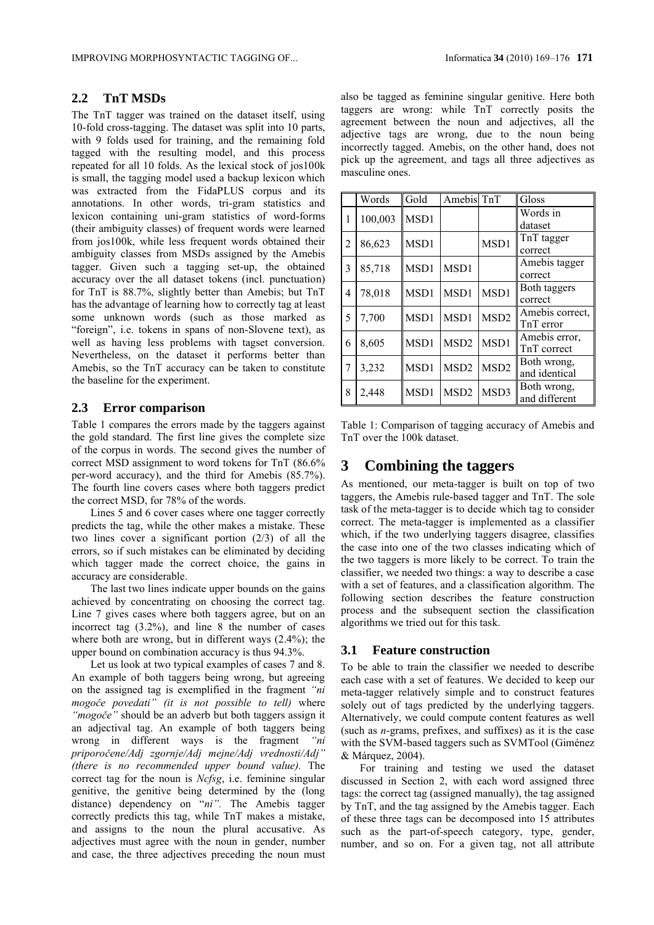### **2.2 TnT MSDs**

The TnT tagger was trained on the dataset itself, using 10-fold cross-tagging. The dataset was split into 10 parts, with 9 folds used for training, and the remaining fold tagged with the resulting model, and this process repeated for all 10 folds. As the lexical stock of jos100k is small, the tagging model used a backup lexicon which was extracted from the FidaPLUS corpus and its annotations. In other words, tri-gram statistics and lexicon containing uni-gram statistics of word-forms (their ambiguity classes) of frequent words were learned from jos100k, while less frequent words obtained their ambiguity classes from MSDs assigned by the Amebis tagger. Given such a tagging set-up, the obtained accuracy over the all dataset tokens (incl. punctuation) for TnT is 88.7%, slightly better than Amebis; but TnT has the advantage of learning how to correctly tag at least some unknown words (such as those marked as "foreign", i.e. tokens in spans of non-Slovene text), as well as having less problems with tagset conversion. Nevertheless, on the dataset it performs better than Amebis, so the TnT accuracy can be taken to constitute the baseline for the experiment.

#### **2.3 Error comparison**

Table 1 compares the errors made by the taggers against the gold standard. The first line gives the complete size of the corpus in words. The second gives the number of correct MSD assignment to word tokens for TnT (86.6% per-word accuracy), and the third for Amebis (85.7%). The fourth line covers cases where both taggers predict the correct MSD, for 78% of the words.

Lines 5 and 6 cover cases where one tagger correctly predicts the tag, while the other makes a mistake. These two lines cover a significant portion (2/3) of all the errors, so if such mistakes can be eliminated by deciding which tagger made the correct choice, the gains in accuracy are considerable.

The last two lines indicate upper bounds on the gains achieved by concentrating on choosing the correct tag. Line 7 gives cases where both taggers agree, but on an incorrect tag (3.2%), and line 8 the number of cases where both are wrong, but in different ways (2.4%); the upper bound on combination accuracy is thus 94.3%.

Let us look at two typical examples of cases 7 and 8. An example of both taggers being wrong, but agreeing on the assigned tag is exemplified in the fragment *"ni mogoče povedati" (it is not possible to tell)* where *"mogoče"* should be an adverb but both taggers assign it an adjectival tag. An example of both taggers being wrong in different ways is the fragment *"ni priporočene/Adj zgornje/Adj mejne/Adj vrednosti/Adj" (there is no recommended upper bound value).* The correct tag for the noun is *Ncfsg*, i.e. feminine singular genitive, the genitive being determined by the (long distance) dependency on "*ni".* The Amebis tagger correctly predicts this tag, while TnT makes a mistake, and assigns to the noun the plural accusative. As adjectives must agree with the noun in gender, number and case, the three adjectives preceding the noun must also be tagged as feminine singular genitive. Here both taggers are wrong: while TnT correctly posits the agreement between the noun and adjectives, all the adjective tags are wrong, due to the noun being incorrectly tagged. Amebis, on the other hand, does not pick up the agreement, and tags all three adjectives as masculine ones.

|   | Words   | Gold | Amebis TnT       |                  | Gloss                        |
|---|---------|------|------------------|------------------|------------------------------|
| 1 | 100,003 | MSD1 |                  |                  | Words in<br>dataset          |
| 2 | 86,623  | MSD1 |                  | MSD1             | TnT tagger<br>correct        |
| 3 | 85,718  | MSD1 | MSD1             |                  | Amebis tagger<br>correct     |
| 4 | 78,018  | MSD1 | MSD1             | MSD1             | Both taggers<br>correct      |
| 5 | 7,700   | MSD1 | MSD1             | MSD <sub>2</sub> | Amebis correct,<br>TnT error |
| 6 | 8,605   | MSD1 | MSD <sub>2</sub> | MSD1             | Amebis error.<br>TnT correct |
| 7 | 3,232   | MSD1 | MSD <sub>2</sub> | MSD <sub>2</sub> | Both wrong,<br>and identical |
| 8 | 2,448   | MSD1 | MSD <sub>2</sub> | MSD3             | Both wrong,<br>and different |

Table 1: Comparison of tagging accuracy of Amebis and TnT over the 100k dataset.

# **3 Combining the taggers**

As mentioned, our meta-tagger is built on top of two taggers, the Amebis rule-based tagger and TnT. The sole task of the meta-tagger is to decide which tag to consider correct. The meta-tagger is implemented as a classifier which, if the two underlying taggers disagree, classifies the case into one of the two classes indicating which of the two taggers is more likely to be correct. To train the classifier, we needed two things: a way to describe a case with a set of features, and a classification algorithm. The following section describes the feature construction process and the subsequent section the classification algorithms we tried out for this task.

#### **3.1 Feature construction**

To be able to train the classifier we needed to describe each case with a set of features. We decided to keep our meta-tagger relatively simple and to construct features solely out of tags predicted by the underlying taggers. Alternatively, we could compute content features as well (such as *n*-grams, prefixes, and suffixes) as it is the case with the SVM-based taggers such as SVMTool (Giménez & Márquez, 2004).

For training and testing we used the dataset discussed in Section 2, with each word assigned three tags: the correct tag (assigned manually), the tag assigned by TnT, and the tag assigned by the Amebis tagger. Each of these three tags can be decomposed into 15 attributes such as the part-of-speech category, type, gender, number, and so on. For a given tag, not all attribute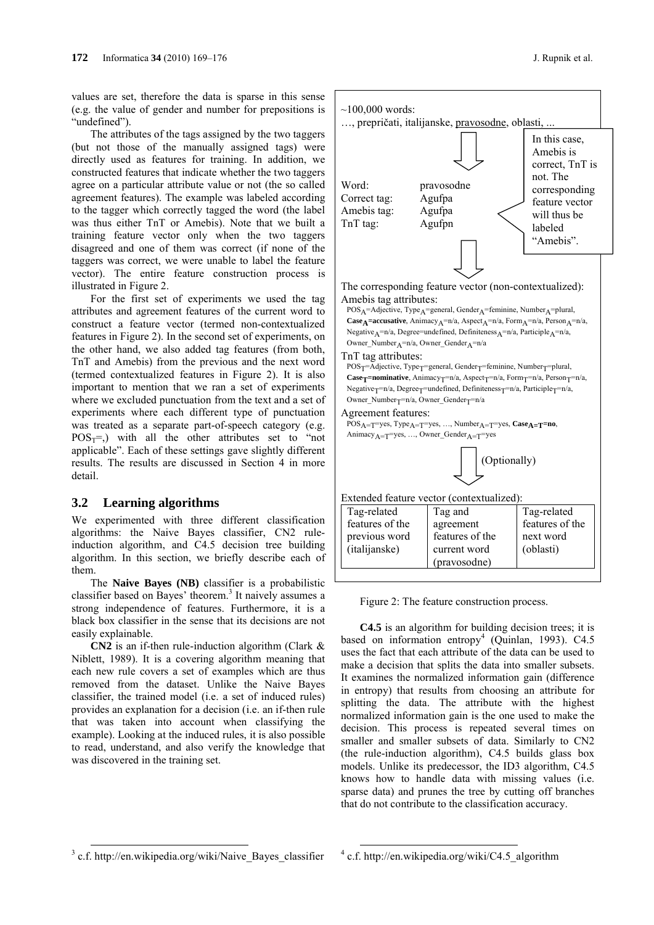values are set, therefore the data is sparse in this sense (e.g. the value of gender and number for prepositions is "undefined").

The attributes of the tags assigned by the two taggers (but not those of the manually assigned tags) were directly used as features for training. In addition, we constructed features that indicate whether the two taggers agree on a particular attribute value or not (the so called agreement features). The example was labeled according to the tagger which correctly tagged the word (the label was thus either TnT or Amebis). Note that we built a training feature vector only when the two taggers disagreed and one of them was correct (if none of the taggers was correct, we were unable to label the feature vector). The entire feature construction process is illustrated in Figure 2.

For the first set of experiments we used the tag attributes and agreement features of the current word to construct a feature vector (termed non-contextualized features in Figure 2). In the second set of experiments, on the other hand, we also added tag features (from both, TnT and Amebis) from the previous and the next word (termed contextualized features in Figure 2). It is also important to mention that we ran a set of experiments where we excluded punctuation from the text and a set of experiments where each different type of punctuation was treated as a separate part-of-speech category (e.g.  $POS_T=$ ,) with all the other attributes set to "not" applicable". Each of these settings gave slightly different results. The results are discussed in Section 4 in more detail.

#### **3.2 Learning algorithms**

We experimented with three different classification algorithms: the Naive Bayes classifier, CN2 ruleinduction algorithm, and C4.5 decision tree building algorithm. In this section, we briefly describe each of them.

The **Naive Bayes (NB)** classifier is a probabilistic classifier based on Bayes' theorem.<sup>3</sup> It naively assumes a strong independence of features. Furthermore, it is a black box classifier in the sense that its decisions are not easily explainable.

**CN2** is an if-then rule-induction algorithm (Clark & Niblett, 1989). It is a covering algorithm meaning that each new rule covers a set of examples which are thus removed from the dataset. Unlike the Naive Bayes classifier, the trained model (i.e. a set of induced rules) provides an explanation for a decision (i.e. an if-then rule that was taken into account when classifying the example). Looking at the induced rules, it is also possible to read, understand, and also verify the knowledge that was discovered in the training set.



**C4.5** is an algorithm for building decision trees; it is based on information entropy<sup>4</sup> (Quinlan, 1993). C4.5 uses the fact that each attribute of the data can be used to make a decision that splits the data into smaller subsets. It examines the normalized information gain (difference in entropy) that results from choosing an attribute for splitting the data. The attribute with the highest normalized information gain is the one used to make the decision. This process is repeated several times on smaller and smaller subsets of data. Similarly to CN2 (the rule-induction algorithm), C4.5 builds glass box models. Unlike its predecessor, the ID3 algorithm, C4.5 knows how to handle data with missing values (i.e. sparse data) and prunes the tree by cutting off branches that do not contribute to the classification accuracy.

 $3$  c.f. http://en.wikipedia.org/wiki/Naive Bayes classifier

 $^{4}$  c.f. http://en.wikipedia.org/wiki/C4.5\_algorithm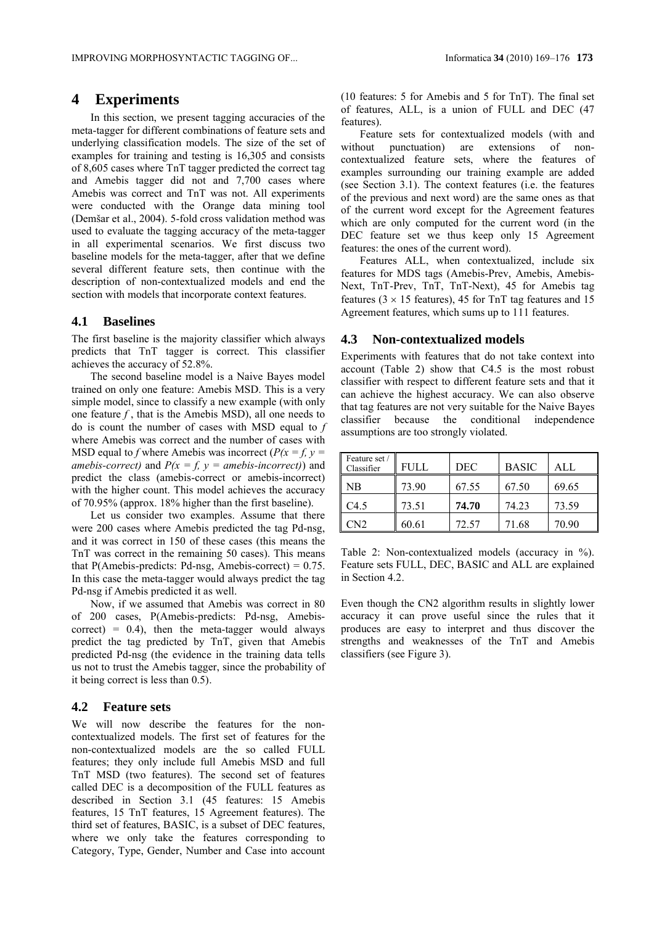### **4 Experiments**

In this section, we present tagging accuracies of the meta-tagger for different combinations of feature sets and underlying classification models. The size of the set of examples for training and testing is 16,305 and consists of 8,605 cases where TnT tagger predicted the correct tag and Amebis tagger did not and 7,700 cases where Amebis was correct and TnT was not. All experiments were conducted with the Orange data mining tool (Demšar et al., 2004). 5-fold cross validation method was used to evaluate the tagging accuracy of the meta-tagger in all experimental scenarios. We first discuss two baseline models for the meta-tagger, after that we define several different feature sets, then continue with the description of non-contextualized models and end the section with models that incorporate context features.

#### **4.1 Baselines**

The first baseline is the majority classifier which always predicts that TnT tagger is correct. This classifier achieves the accuracy of 52.8%.

The second baseline model is a Naive Bayes model trained on only one feature: Amebis MSD. This is a very simple model, since to classify a new example (with only one feature *f* , that is the Amebis MSD), all one needs to do is count the number of cases with MSD equal to *f*  where Amebis was correct and the number of cases with MSD equal to *f* where Amebis was incorrect ( $P(x = f, y =$ *amebis-correct)* and  $P(x = f, y = amebis-incorrect)$  and predict the class (amebis-correct or amebis-incorrect) with the higher count. This model achieves the accuracy of 70.95% (approx. 18% higher than the first baseline).

Let us consider two examples. Assume that there were 200 cases where Amebis predicted the tag Pd-nsg, and it was correct in 150 of these cases (this means the TnT was correct in the remaining 50 cases). This means that P(Amebis-predicts: Pd-nsg, Amebis-correct) =  $0.75$ . In this case the meta-tagger would always predict the tag Pd-nsg if Amebis predicted it as well.

Now, if we assumed that Amebis was correct in 80 of 200 cases, P(Amebis-predicts: Pd-nsg, Amebiscorrect) =  $0.4$ ), then the meta-tagger would always predict the tag predicted by TnT, given that Amebis predicted Pd-nsg (the evidence in the training data tells us not to trust the Amebis tagger, since the probability of it being correct is less than 0.5).

#### **4.2 Feature sets**

We will now describe the features for the noncontextualized models. The first set of features for the non-contextualized models are the so called FULL features; they only include full Amebis MSD and full TnT MSD (two features). The second set of features called DEC is a decomposition of the FULL features as described in Section 3.1 (45 features: 15 Amebis features, 15 TnT features, 15 Agreement features). The third set of features, BASIC, is a subset of DEC features, where we only take the features corresponding to Category, Type, Gender, Number and Case into account (10 features: 5 for Amebis and 5 for TnT). The final set of features, ALL, is a union of FULL and DEC (47 features).

Feature sets for contextualized models (with and without punctuation) are extensions of noncontextualized feature sets, where the features of examples surrounding our training example are added (see Section 3.1). The context features (i.e. the features of the previous and next word) are the same ones as that of the current word except for the Agreement features which are only computed for the current word (in the DEC feature set we thus keep only 15 Agreement features: the ones of the current word).

Features ALL, when contextualized, include six features for MDS tags (Amebis-Prev, Amebis, Amebis-Next, TnT-Prev, TnT, TnT-Next), 45 for Amebis tag features ( $3 \times 15$  features), 45 for TnT tag features and 15 Agreement features, which sums up to 111 features.

#### **4.3 Non-contextualized models**

Experiments with features that do not take context into account (Table 2) show that C4.5 is the most robust classifier with respect to different feature sets and that it can achieve the highest accuracy. We can also observe that tag features are not very suitable for the Naive Bayes classifier because the conditional independence assumptions are too strongly violated.

| Feature set /<br>Classifier | FULL. | <b>DEC</b> | <b>BASIC</b> | AI.   |
|-----------------------------|-------|------------|--------------|-------|
| ' NB                        | 73.90 | 67.55      | 67.50        | 69.65 |
| C4.5                        | 73.51 | 74.70      | 74.23        | 73.59 |
| CN2                         | 60.61 | 72.57      | 71.68        | 70.90 |

Table 2: Non-contextualized models (accuracy in %). Feature sets FULL, DEC, BASIC and ALL are explained in Section 4.2.

Even though the CN2 algorithm results in slightly lower accuracy it can prove useful since the rules that it produces are easy to interpret and thus discover the strengths and weaknesses of the TnT and Amebis classifiers (see Figure 3).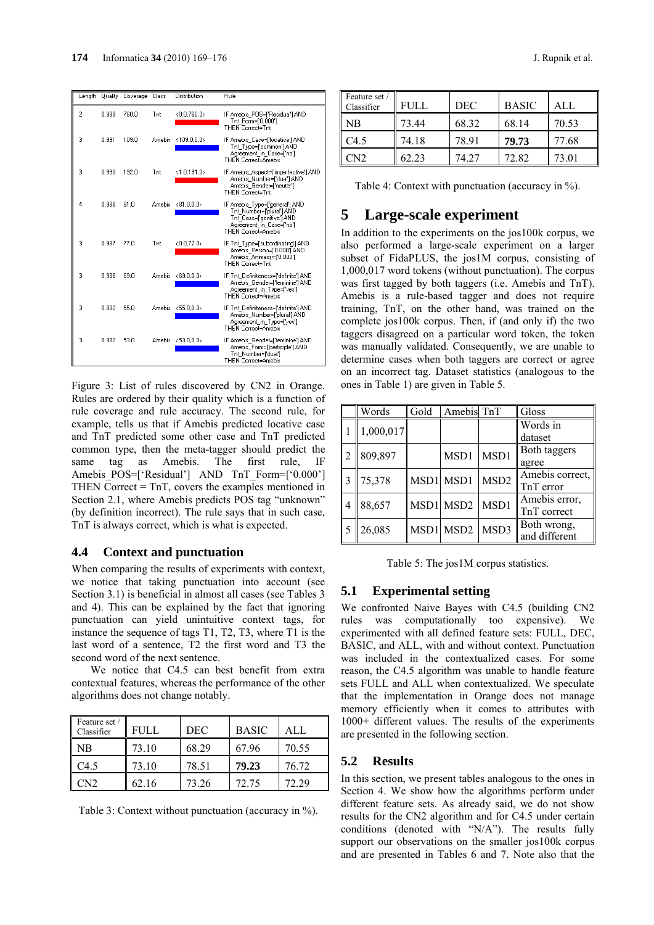

Figure 3: List of rules discovered by CN2 in Orange. Rules are ordered by their quality which is a function of rule coverage and rule accuracy. The second rule, for example, tells us that if Amebis predicted locative case and TnT predicted some other case and TnT predicted common type, then the meta-tagger should predict the same tag as Amebis. The first rule, IF Amebis POS=['Residual'] AND TnT Form=['0.000'] THEN Correct = TnT, covers the examples mentioned in Section 2.1, where Amebis predicts POS tag "unknown" (by definition incorrect). The rule says that in such case, TnT is always correct, which is what is expected.

#### **4.4 Context and punctuation**

When comparing the results of experiments with context, we notice that taking punctuation into account (see Section 3.1) is beneficial in almost all cases (see Tables 3 and 4). This can be explained by the fact that ignoring punctuation can yield unintuitive context tags, for instance the sequence of tags T1, T2, T3, where T1 is the last word of a sentence, T2 the first word and T3 the second word of the next sentence.

We notice that C4.5 can best benefit from extra contextual features, whereas the performance of the other algorithms does not change notably.

| Feature set /<br>Classifier | FULL. | DEC   | <b>BASIC</b> | ALL.  |
|-----------------------------|-------|-------|--------------|-------|
| <b>NB</b>                   | 73.10 | 68.29 | 67.96        | 70.55 |
| C4.5                        | 73.10 | 78.51 | 79.23        | 76.72 |
| CN2                         | 62.16 | 73.26 | 72.75        | 72.29 |

Table 3: Context without punctuation (accuracy in %).

| Feature set /<br>Classifier | FULL. | <b>DEC</b> | <b>BASIC</b> | ALL   |
|-----------------------------|-------|------------|--------------|-------|
| <b>NB</b>                   | 73.44 | 68.32      | 68.14        | 70.53 |
| C <sub>4.5</sub>            | 74.18 | 78.91      | 79.73        | 77.68 |
| CN <sub>2</sub>             | 62.23 | 74 27      | 72.82        | 73.01 |

Table 4: Context with punctuation (accuracy in %).

# **5 Large-scale experiment**

In addition to the experiments on the jos100k corpus, we also performed a large-scale experiment on a larger subset of FidaPLUS, the jos1M corpus, consisting of 1,000,017 word tokens (without punctuation). The corpus was first tagged by both taggers (i.e. Amebis and TnT). Amebis is a rule-based tagger and does not require training, TnT, on the other hand, was trained on the complete jos100k corpus. Then, if (and only if) the two taggers disagreed on a particular word token, the token was manually validated. Consequently, we are unable to determine cases when both taggers are correct or agree on an incorrect tag. Dataset statistics (analogous to the ones in Table 1) are given in Table 5.

|    | Words     | Gold | Amebis TnT |                  | Gloss                        |
|----|-----------|------|------------|------------------|------------------------------|
|    | 1,000,017 |      |            |                  | Words in<br>dataset          |
| 2  | 809,897   |      | MSD1       | MSD1             | Both taggers<br>agree        |
| 13 | 75,378    |      | MSD1 MSD1  | MSD <sub>2</sub> | Amebis correct,<br>TnT error |
| 4  | 88,657    |      | MSD1 MSD2  | MSD1             | Amebis error,<br>TnT correct |
| 5  | 26,085    |      | MSD1 MSD2  | MSD3             | Both wrong,<br>and different |

Table 5: The jos1M corpus statistics.

#### **5.1 Experimental setting**

We confronted Naive Bayes with C4.5 (building CN2 rules was computationally too expensive). We experimented with all defined feature sets: FULL, DEC, BASIC, and ALL, with and without context. Punctuation was included in the contextualized cases. For some reason, the C4.5 algorithm was unable to handle feature sets FULL and ALL when contextualized. We speculate that the implementation in Orange does not manage memory efficiently when it comes to attributes with 1000+ different values. The results of the experiments are presented in the following section.

#### **5.2 Results**

In this section, we present tables analogous to the ones in Section 4. We show how the algorithms perform under different feature sets. As already said, we do not show results for the CN2 algorithm and for C4.5 under certain conditions (denoted with "N/A"). The results fully support our observations on the smaller jos100k corpus and are presented in Tables 6 and 7. Note also that the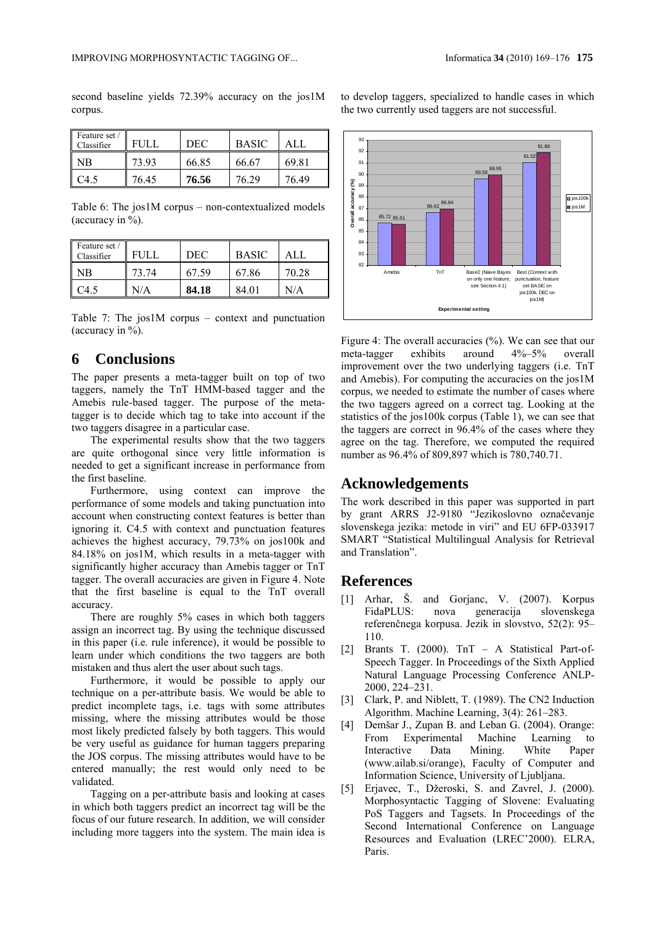second baseline yields 72.39% accuracy on the jos1M corpus.

| Feature set /<br>Classifier | FULI  | DEC   | <b>BASIC</b> | AIJ.  |
|-----------------------------|-------|-------|--------------|-------|
| NΒ                          | 73.93 | 66.85 | 66.67        | 69.81 |
| .45                         | 76.45 | 76.56 | 76 29        | 76.49 |

Table 6: The jos1M corpus – non-contextualized models (accuracy in %).

| Feature set /<br>Classifier | $\pm 1 \, \mathrm{H} \, \mathrm{T}$ | DEC   | <b>BASIC</b> |       |
|-----------------------------|-------------------------------------|-------|--------------|-------|
| NΒ                          | 73.74                               | 67.59 | 67.86        | 70.28 |
|                             | \/A                                 | 84.18 | 84.01        | J/A   |

Table 7: The jos1M corpus – context and punctuation (accuracy in  $\%$ ).

# **6 Conclusions**

The paper presents a meta-tagger built on top of two taggers, namely the TnT HMM-based tagger and the Amebis rule-based tagger. The purpose of the metatagger is to decide which tag to take into account if the two taggers disagree in a particular case.

The experimental results show that the two taggers are quite orthogonal since very little information is needed to get a significant increase in performance from the first baseline.

Furthermore, using context can improve the performance of some models and taking punctuation into account when constructing context features is better than ignoring it. C4.5 with context and punctuation features achieves the highest accuracy, 79.73% on jos100k and 84.18% on jos1M, which results in a meta-tagger with significantly higher accuracy than Amebis tagger or TnT tagger. The overall accuracies are given in Figure 4. Note that the first baseline is equal to the TnT overall accuracy.

There are roughly 5% cases in which both taggers assign an incorrect tag. By using the technique discussed in this paper (i.e. rule inference), it would be possible to learn under which conditions the two taggers are both mistaken and thus alert the user about such tags.

Furthermore, it would be possible to apply our technique on a per-attribute basis. We would be able to predict incomplete tags, i.e. tags with some attributes missing, where the missing attributes would be those most likely predicted falsely by both taggers. This would be very useful as guidance for human taggers preparing the JOS corpus. The missing attributes would have to be entered manually; the rest would only need to be validated.

Tagging on a per-attribute basis and looking at cases in which both taggers predict an incorrect tag will be the focus of our future research. In addition, we will consider including more taggers into the system. The main idea is to develop taggers, specialized to handle cases in which the two currently used taggers are not successful.



Figure 4: The overall accuracies (%). We can see that our meta-tagger exhibits around 4%–5% overall improvement over the two underlying taggers (i.e. TnT and Amebis). For computing the accuracies on the jos1M corpus, we needed to estimate the number of cases where the two taggers agreed on a correct tag. Looking at the statistics of the jos100k corpus (Table 1), we can see that the taggers are correct in 96.4% of the cases where they agree on the tag. Therefore, we computed the required number as 96.4% of 809,897 which is 780,740.71.

### **Acknowledgements**

The work described in this paper was supported in part by grant ARRS J2-9180 "Jezikoslovno označevanje slovenskega jezika: metode in viri" and EU 6FP-033917 SMART "Statistical Multilingual Analysis for Retrieval and Translation".

## **References**

- [1] Arhar, Š. and Gorjanc, V. (2007). Korpus FidaPLUS: nova generacija slovenskega referenčnega korpusa. Jezik in slovstvo, 52(2): 95– 110.
- [2] Brants T. (2000). TnT A Statistical Part-of-Speech Tagger. In Proceedings of the Sixth Applied Natural Language Processing Conference ANLP-2000, 224–231.
- [3] Clark, P. and Niblett, T. (1989). The CN2 Induction Algorithm. Machine Learning, 3(4): 261–283.
- [4] Demšar J., Zupan B. and Leban G. (2004). Orange: From Experimental Machine Learning to Interactive Data Mining. White Paper (www.ailab.si/orange), Faculty of Computer and Information Science, University of Ljubljana.
- [5] Erjavec, T., Džeroski, S. and Zavrel, J. (2000). Morphosyntactic Tagging of Slovene: Evaluating PoS Taggers and Tagsets. In Proceedings of the Second International Conference on Language Resources and Evaluation (LREC'2000). ELRA, Paris.